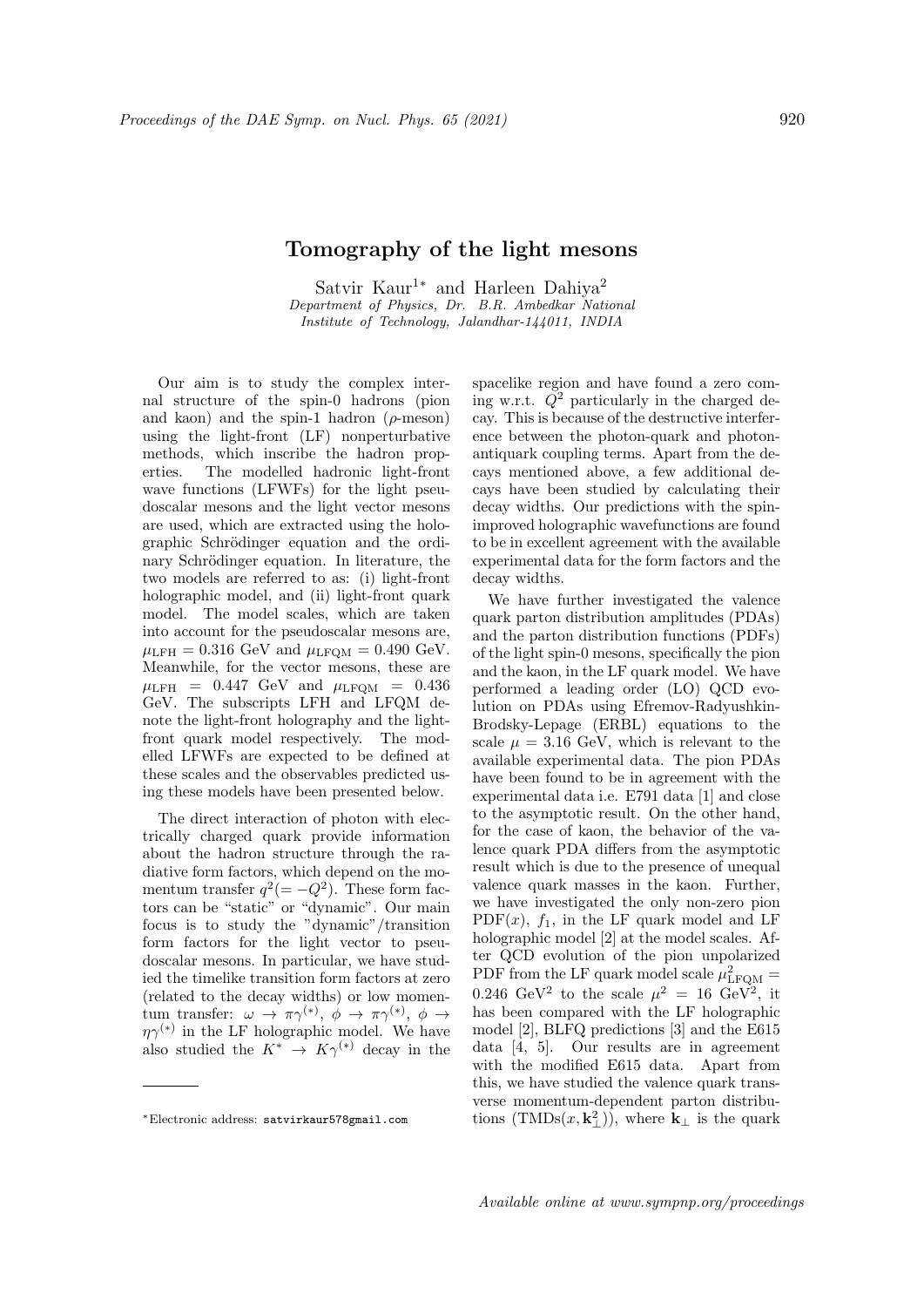## Tomography of the light mesons

Satvir Kaur<sup>1∗</sup> and Harleen Dahiya<sup>2</sup> Department of Physics, Dr. B.R. Ambedkar National Institute of Technology, Jalandhar-144011, INDIA

Our aim is to study the complex internal structure of the spin-0 hadrons (pion and kaon) and the spin-1 hadron  $(\rho$ -meson) using the light-front (LF) nonperturbative methods, which inscribe the hadron properties. The modelled hadronic light-front wave functions (LFWFs) for the light pseudoscalar mesons and the light vector mesons are used, which are extracted using the holographic Schrödinger equation and the ordinary Schrödinger equation. In literature, the two models are referred to as: (i) light-front holographic model, and (ii) light-front quark model. The model scales, which are taken into account for the pseudoscalar mesons are,  $\mu_{\text{LFH}} = 0.316 \text{ GeV}$  and  $\mu_{\text{LFOM}} = 0.490 \text{ GeV}$ . Meanwhile, for the vector mesons, these are  $\mu_{\text{LFH}}$  = 0.447 GeV and  $\mu_{\text{LFQM}}$  = 0.436 GeV. The subscripts LFH and LFQM denote the light-front holography and the lightfront quark model respectively. The modelled LFWFs are expected to be defined at these scales and the observables predicted using these models have been presented below.

The direct interaction of photon with electrically charged quark provide information about the hadron structure through the radiative form factors, which depend on the momentum transfer  $q^2(=-Q^2)$ . These form factors can be "static" or "dynamic". Our main focus is to study the "dynamic"/transition form factors for the light vector to pseudoscalar mesons. In particular, we have studied the timelike transition form factors at zero (related to the decay widths) or low momentum transfer:  $\omega \to \pi \gamma^{(*)}, \phi \to \pi \gamma^{(*)}, \phi \to$  $\eta \gamma^{(*)}$  in the LF holographic model. We have also studied the  $K^* \rightarrow K\gamma^{(*)}$  decay in the spacelike region and have found a zero coming w.r.t.  $Q^2$  particularly in the charged decay. This is because of the destructive interference between the photon-quark and photonantiquark coupling terms. Apart from the decays mentioned above, a few additional decays have been studied by calculating their decay widths. Our predictions with the spinimproved holographic wavefunctions are found to be in excellent agreement with the available experimental data for the form factors and the decay widths.

We have further investigated the valence quark parton distribution amplitudes (PDAs) and the parton distribution functions (PDFs) of the light spin-0 mesons, specifically the pion and the kaon, in the LF quark model. We have performed a leading order (LO) QCD evolution on PDAs using Efremov-Radyushkin-Brodsky-Lepage (ERBL) equations to the scale  $\mu = 3.16$  GeV, which is relevant to the available experimental data. The pion PDAs have been found to be in agreement with the experimental data i.e. E791 data [1] and close to the asymptotic result. On the other hand, for the case of kaon, the behavior of the valence quark PDA differs from the asymptotic result which is due to the presence of unequal valence quark masses in the kaon. Further, we have investigated the only non-zero pion PDF $(x)$ ,  $f_1$ , in the LF quark model and LF holographic model [2] at the model scales. After QCD evolution of the pion unpolarized PDF from the LF quark model scale  $\mu_{\textrm{LFQM}}^2 =$ 0.246 GeV<sup>2</sup> to the scale  $\mu^2 = 16$  GeV<sup>2</sup>, it has been compared with the LF holographic model [2], BLFQ predictions [3] and the E615 data [4, 5]. Our results are in agreement with the modified E615 data. Apart from this, we have studied the valence quark transverse momentum-dependent parton distributions (TMDs $(x, \mathbf{k}_{\perp}^2)$ ), where  $\mathbf{k}_{\perp}$  is the quark

<sup>∗</sup>Electronic address: satvirkaur578gmail.com